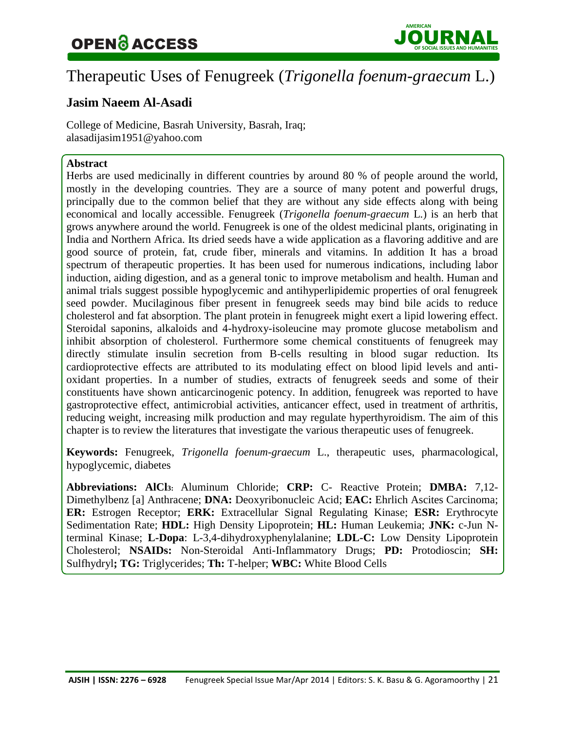## OPEN ACCESS JOUR **OF SOCIAL ISSUES**N**AND HUMANITIES** AL



### Therapeutic Uses of Fenugreek (*Trigonella foenum-graecum* L.)

### **Jasim Naeem Al-Asadi**

College of Medicine, Basrah University, Basrah, Iraq; [alasadijasim1951@yahoo.com](mailto:alasadijasim1951@yahoo.com)

### **Abstract**

Herbs are used medicinally in different countries by around 80 % of people around the world, mostly in the developing countries. They are a source of many potent and powerful drugs, principally due to the common belief that they are without any side effects along with being economical and locally accessible. Fenugreek (*Trigonella foenum-graecum* L.) is an herb that grows anywhere around the world. Fenugreek is one of the oldest medicinal plants, originating in India and Northern Africa. Its dried seeds have a wide application as a flavoring additive and are good source of protein, fat, crude fiber, minerals and vitamins. In addition It has a broad spectrum of therapeutic properties. It has been used for numerous indications, including labor induction, aiding digestion, and as a general tonic to improve metabolism and health. Human and animal trials suggest possible hypoglycemic and antihyperlipidemic properties of oral fenugreek seed powder. Mucilaginous fiber present in fenugreek seeds may bind bile acids to reduce cholesterol and fat absorption. The plant protein in fenugreek might exert a lipid lowering effect. Steroidal saponins, alkaloids and 4-hydroxy-isoleucine may promote glucose metabolism and inhibit absorption of cholesterol. Furthermore some chemical constituents of fenugreek may directly stimulate insulin secretion from B-cells resulting in blood sugar reduction. Its cardioprotective effects are attributed to its modulating effect on blood lipid levels and antioxidant properties. In a number of studies, extracts of fenugreek seeds and some of their constituents have shown anticarcinogenic potency. In addition, fenugreek was reported to have gastroprotective effect, antimicrobial activities, anticancer effect, used in treatment of arthritis, reducing weight, increasing milk production and may regulate hyperthyroidism. The aim of this chapter is to review the literatures that investigate the various therapeutic uses of fenugreek.

**Keywords:** Fenugreek, *Trigonella foenum-graecum* L., therapeutic uses, pharmacological, hypoglycemic, diabetes

**Abbreviations: AlCl3:** Aluminum Chloride; **CRP:** C- Reactive Protein; **DMBA:** 7,12- Dimethylbenz [a] Anthracene; **DNA:** Deoxyribonucleic Acid; **EAC:** Ehrlich Ascites Carcinoma; **ER:** Estrogen Receptor; **ERK:** Extracellular Signal Regulating Kinase; **ESR:** Erythrocyte Sedimentation Rate; **HDL:** High Density Lipoprotein; **HL:** Human Leukemia; **JNK:** c-Jun Nterminal Kinase; **L-Dopa**: L-3,4-dihydroxyphenylalanine; **LDL-C:** Low Density Lipoprotein Cholesterol; **NSAIDs:** Non-Steroidal Anti-Inflammatory Drugs; **PD:** Protodioscin; **SH:**  Sulfhydryl**; TG:** Triglycerides; **Th:** T-helper; **WBC:** White Blood Cells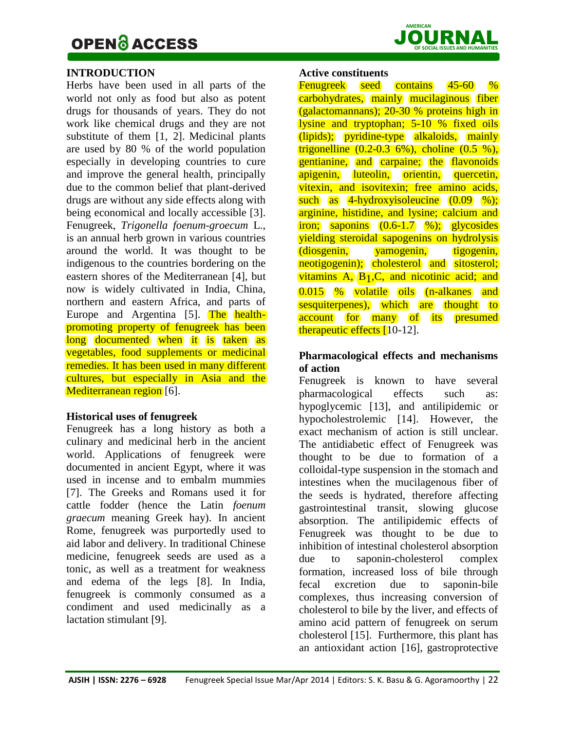

#### **INTRODUCTION**

Herbs have been used in all parts of the world not only as food but also as potent drugs for thousands of years. They do not work like chemical drugs and they are not substitute of them [1, 2]. Medicinal plants are used by 80 % of the world population especially in developing countries to cure and improve the general health, principally due to the common belief that plant-derived drugs are without any side effects along with being economical and locally accessible [3]. Fenugreek, *Trigonella foenum-groecum* L., is an annual herb grown in various countries around the world. It was thought to be indigenous to the countries bordering on the eastern shores of the Mediterranean [4], but now is widely cultivated in India, China, northern and eastern Africa, and parts of Europe and Argentina [5]. The healthpromoting property of fenugreek has been long documented when it is taken as vegetables, food supplements or medicinal remedies. It has been used in many different cultures, but especially in Asia and the Mediterranean region [6].

#### **Historical uses of fenugreek**

Fenugreek has a long history as both a culinary and medicinal herb in the ancient world. Applications of fenugreek were documented in ancient Egypt, where it was used in incense and to embalm mummies [7]. The Greeks and Romans used it for cattle fodder (hence the Latin *foenum graecum* meaning Greek hay). In ancient Rome, fenugreek was purportedly used to aid labor and delivery. In traditional Chinese medicine, fenugreek seeds are used as a tonic, as well as a treatment for weakness and edema of the legs [8]. In India, fenugreek is commonly consumed as a condiment and used medicinally as a lactation stimulant [9].

#### **Active constituents**

Fenugreek seed contains 45-60 % carbohydrates, mainly mucilaginous fiber (galactomannans); 20-30 % proteins high in lysine and tryptophan; 5-10 % fixed oils (lipids); pyridine-type alkaloids, mainly trigonelline  $(0.2-0.3\,6\%)$ , choline  $(0.5\,%)$ , gentianine, and carpaine; the flavonoids apigenin, luteolin, orientin, quercetin, vitexin, and isovitexin; free amino acids, such as  $4$ -hydroxyisoleucine  $(0.09 \, \%)$ ; arginine, histidine, and lysine; calcium and iron; saponins  $(0.6-1.7 \%)$ ; glycosides yielding steroidal sapogenins on hydrolysis (diosgenin, yamogenin, tigogenin, neotigogenin); cholesterol and sitosterol; vitamins  $A$ ,  $B_1$ ,  $C$ , and nicotinic acid; and 0.015 % volatile oils (n-alkanes and sesquiterpenes), which are thought to account for many of its presumed therapeutic effects [10-12].

### **Pharmacological effects and mechanisms of action**

Fenugreek is known to have several pharmacological effects such as: hypoglycemic [13], and antilipidemic or hypocholestrolemic [14]. However, the exact mechanism of action is still unclear. The antidiabetic effect of Fenugreek was thought to be due to formation of a colloidal-type suspension in the stomach and intestines when the mucilagenous fiber of the seeds is hydrated, therefore affecting gastrointestinal transit, slowing glucose absorption. The antilipidemic effects of Fenugreek was thought to be due to inhibition of intestinal cholesterol absorption due to saponin-cholesterol complex formation, increased loss of bile through fecal excretion due to saponin-bile complexes, thus increasing conversion of cholesterol to bile by the liver, and effects of amino acid pattern of fenugreek on serum cholesterol [15]. Furthermore, this plant has an antioxidant action [16], gastroprotective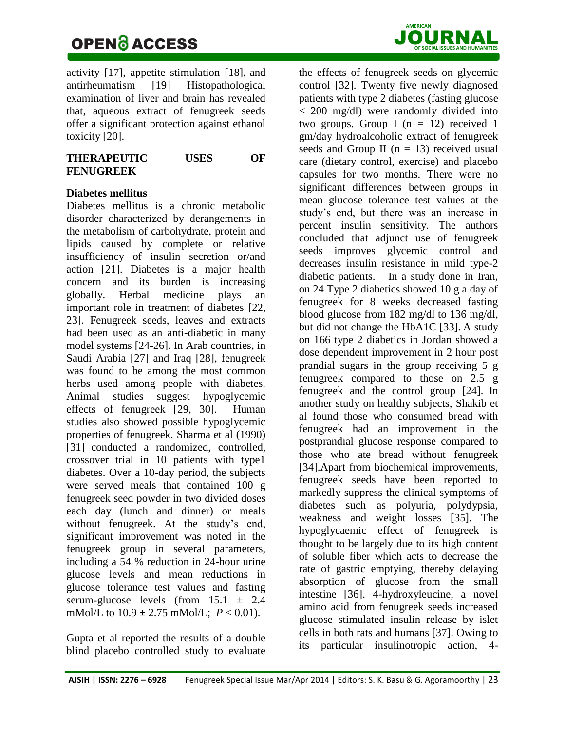## **OPEN & ACCESS** JOURN

**AMERICAN**

activity [17], appetite stimulation [18], and antirheumatism [19] Histopathological examination of liver and brain has revealed that, aqueous extract of fenugreek seeds offer a significant protection against ethanol toxicity [20].

| <b>THERAPEUTIC</b> | <b>USES</b> | OF |
|--------------------|-------------|----|
| <b>FENUGREEK</b>   |             |    |

### **Diabetes mellitus**

Diabetes mellitus is a chronic metabolic disorder characterized by derangements in the metabolism of carbohydrate, protein and lipids caused by complete or relative insufficiency of insulin secretion or/and action [21]. Diabetes is a major health concern and its burden is increasing globally. Herbal medicine plays an important role in treatment of diabetes [22, 23]. Fenugreek seeds, leaves and extracts had been used as an anti-diabetic in many model systems [24-26]. In Arab countries, in Saudi Arabia [27] and Iraq [28], fenugreek was found to be among the most common herbs used among people with diabetes. Animal studies suggest hypoglycemic effects of fenugreek [29, 30]. Human studies also showed possible hypoglycemic properties of fenugreek. Sharma et al (1990) [31] conducted a randomized, controlled, crossover trial in 10 patients with type1 diabetes. Over a 10-day period, the subjects were served meals that contained 100 g fenugreek seed powder in two divided doses each day (lunch and dinner) or meals without fenugreek. At the study's end, significant improvement was noted in the fenugreek group in several parameters, including a 54 % reduction in 24-hour urine glucose levels and mean reductions in glucose tolerance test values and fasting serum-glucose levels (from  $15.1 \pm 2.4$ mMol/L to  $10.9 \pm 2.75$  mMol/L;  $P < 0.01$ ).

Gupta et al reported the results of a double blind placebo controlled study to evaluate the effects of fenugreek seeds on glycemic control [32]. Twenty five newly diagnosed patients with type 2 diabetes (fasting glucose < 200 mg/dl) were randomly divided into two groups. Group I  $(n = 12)$  received 1 gm/day hydroalcoholic extract of fenugreek seeds and Group II ( $n = 13$ ) received usual care (dietary control, exercise) and placebo capsules for two months. There were no significant differences between groups in mean glucose tolerance test values at the study's end, but there was an increase in percent insulin sensitivity. The authors concluded that adjunct use of fenugreek seeds improves glycemic control and decreases insulin resistance in mild type-2 diabetic patients. In a study done in Iran, on 24 Type 2 diabetics showed 10 g a day of fenugreek for 8 weeks decreased fasting blood glucose from 182 mg/dl to 136 mg/dl, but did not change the HbA1C [33]. A study on 166 type 2 diabetics in Jordan showed a dose dependent improvement in 2 hour post prandial sugars in the group receiving 5 g fenugreek compared to those on 2.5 g fenugreek and the control group [24]. In another study on healthy subjects, Shakib et al found those who consumed bread with fenugreek had an improvement in the postprandial glucose response compared to those who ate bread without fenugreek [34].Apart from biochemical improvements, fenugreek seeds have been reported to markedly suppress the clinical symptoms of diabetes such as polyuria, polydypsia, weakness and weight losses [35]. The hypoglycaemic effect of fenugreek is thought to be largely due to its high content of soluble fiber which acts to decrease the rate of gastric emptying, thereby delaying absorption of glucose from the small intestine [36]. 4-hydroxyleucine, a novel amino acid from fenugreek seeds increased glucose stimulated insulin release by islet cells in both rats and humans [37]. Owing to its particular insulinotropic action, 4-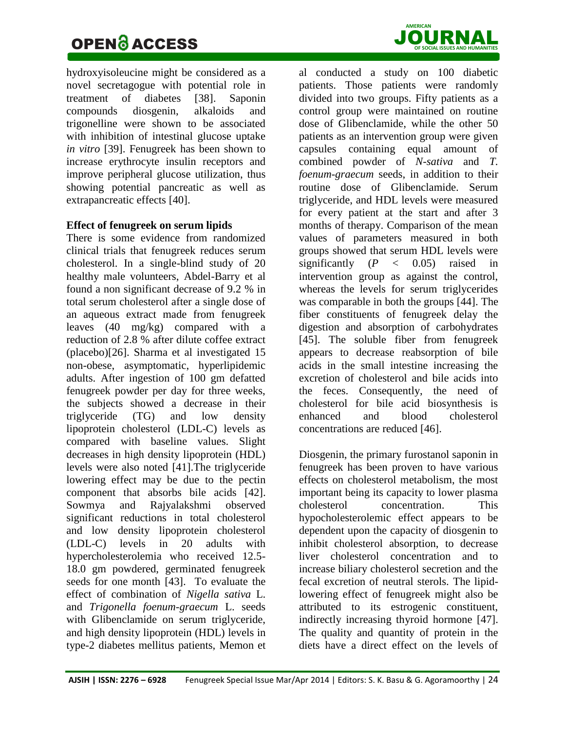## **OPEN & ACCESS** JOURNAL **JOURNAL SUBS**

hydroxyisoleucine might be considered as a novel secretagogue with potential role in treatment of diabetes [38]. Saponin compounds diosgenin, alkaloids and trigonelline were shown to be associated with inhibition of intestinal glucose uptake *in vitro* [39]. Fenugreek has been shown to increase erythrocyte insulin receptors and improve peripheral glucose utilization, thus showing potential pancreatic as well as extrapancreatic effects [40].

### **Effect of fenugreek on serum lipids**

There is some evidence from randomized clinical trials that fenugreek reduces serum cholesterol. In a single-blind study of 20 healthy male volunteers, Abdel-Barry et al found a non significant decrease of 9.2 % in total serum cholesterol after a single dose of an aqueous extract made from fenugreek leaves (40 mg/kg) compared with a reduction of 2.8 % after dilute coffee extract (placebo)[26]. Sharma et al investigated 15 non-obese, asymptomatic, hyperlipidemic adults. After ingestion of 100 gm defatted fenugreek powder per day for three weeks, the subjects showed a decrease in their triglyceride (TG) and low density lipoprotein cholesterol (LDL-C) levels as compared with baseline values. Slight decreases in high density lipoprotein (HDL) levels were also noted [41].The triglyceride lowering effect may be due to the pectin component that absorbs bile acids [42]. Sowmya and Rajyalakshmi observed significant reductions in total cholesterol and low density lipoprotein cholesterol (LDL-C) levels in 20 adults with hypercholesterolemia who received 12.5- 18.0 gm powdered, germinated fenugreek seeds for one month [43]. To evaluate the effect of combination of *Nigella sativa* L. and *Trigonella foenum-graecum* L. seeds with Glibenclamide on serum triglyceride, and high density lipoprotein (HDL) levels in type-2 diabetes mellitus patients, Memon et



al conducted a study on 100 diabetic patients. Those patients were randomly divided into two groups. Fifty patients as a control group were maintained on routine dose of Glibenclamide, while the other 50 patients as an intervention group were given capsules containing equal amount of combined powder of *N-sativa* and *T. foenum-graecum* seeds, in addition to their routine dose of Glibenclamide. Serum triglyceride, and HDL levels were measured for every patient at the start and after 3 months of therapy. Comparison of the mean values of parameters measured in both groups showed that serum HDL levels were significantly  $(P \lt 0.05)$  raised in intervention group as against the control, whereas the levels for serum triglycerides was comparable in both the groups [44]. The fiber constituents of fenugreek delay the digestion and absorption of carbohydrates [45]. The soluble fiber from fenugreek appears to decrease reabsorption of bile acids in the small intestine increasing the excretion of cholesterol and bile acids into the feces. Consequently, the need of cholesterol for bile acid biosynthesis is enhanced and blood cholesterol concentrations are reduced [46].

Diosgenin, the primary furostanol saponin in fenugreek has been proven to have various effects on cholesterol metabolism, the most important being its capacity to lower plasma cholesterol concentration. This hypocholesterolemic effect appears to be dependent upon the capacity of diosgenin to inhibit cholesterol absorption, to decrease liver cholesterol concentration and to increase biliary cholesterol secretion and the fecal excretion of neutral sterols. The lipidlowering effect of fenugreek might also be attributed to its estrogenic constituent, indirectly increasing thyroid hormone [47]. The quality and quantity of protein in the diets have a direct effect on the levels of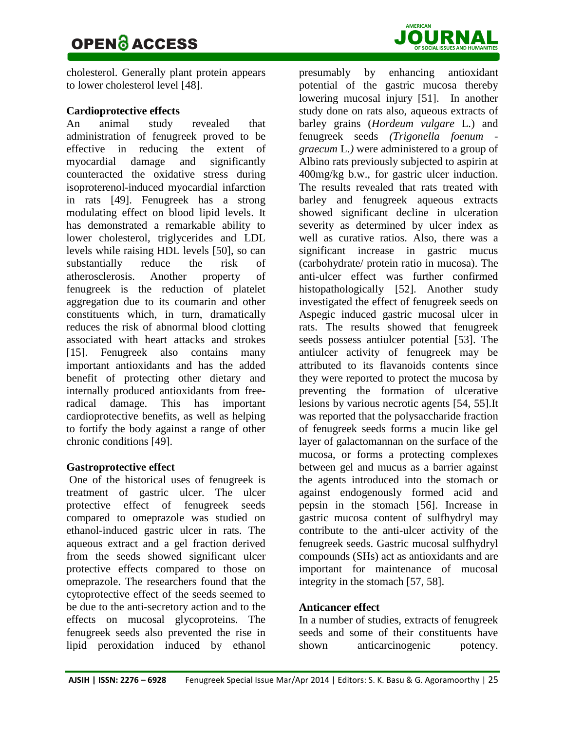

cholesterol. Generally plant protein appears to lower cholesterol level [48].

### **Cardioprotective effects**

An animal study revealed that administration of fenugreek proved to be effective in reducing the extent of myocardial damage and significantly counteracted the oxidative stress during isoproterenol-induced myocardial infarction in rats [49]. Fenugreek has a strong modulating effect on blood lipid levels. It has demonstrated a remarkable ability to lower cholesterol, triglycerides and LDL levels while raising HDL levels [50], so can substantially reduce the risk of atherosclerosis. Another property of fenugreek is the reduction of platelet aggregation due to its coumarin and other constituents which, in turn, dramatically reduces the risk of abnormal blood clotting associated with heart attacks and strokes [15]. Fenugreek also contains many important antioxidants and has the added benefit of protecting other dietary and internally produced antioxidants from freeradical damage. This has important cardioprotective benefits, as well as helping to fortify the body against a range of other chronic conditions [49].

### **Gastroprotective effect**

One of the historical uses of fenugreek is treatment of gastric ulcer. The ulcer protective effect of fenugreek seeds compared to omeprazole was studied on ethanol-induced gastric ulcer in rats. The aqueous extract and a gel fraction derived from the seeds showed significant ulcer protective effects compared to those on [omeprazole.](http://healthtools.aarp.org/goldcontent/omeprazole) The researchers found that the cytoprotective effect of the seeds seemed to be due to the anti-secretory action and to the effects on mucosal glycoproteins. The fenugreek seeds also prevented the rise in lipid peroxidation induced by ethanol

presumably by enhancing antioxidant potential of the gastric mucosa thereby lowering mucosal injury [51]. In another study done on rats also, aqueous extracts of barley grains (*Hordeum vulgare* L*.*) and fenugreek seeds *(Trigonella foenum graecum* L.*)* were administered to a group of Albino rats previously subjected to aspirin at 400mg/kg b.w., for gastric ulcer induction. The results revealed that rats treated with barley and fenugreek aqueous extracts showed significant decline in ulceration severity as determined by ulcer index as well as curative ratios. Also, there was a significant increase in gastric mucus (carbohydrate/ protein ratio in mucosa). The anti-ulcer effect was further confirmed histopathologically [52]. Another study investigated the effect of fenugreek seeds on Aspegic induced gastric mucosal ulcer in rats. The results showed that fenugreek seeds possess antiulcer potential [53]. The antiulcer activity of fenugreek may be attributed to its flavanoids contents since they were reported to protect the mucosa by preventing the formation of ulcerative lesions by various necrotic agents [54, 55].It was reported that the polysaccharide fraction of fenugreek seeds forms a mucin like gel layer of galactomannan on the surface of the mucosa, or forms a protecting complexes between gel and mucus as a barrier against the agents introduced into the stomach or against endogenously formed acid and pepsin in the stomach [56]. Increase in gastric mucosa content of sulfhydryl may contribute to the anti-ulcer activity of the fenugreek seeds. Gastric mucosal sulfhydryl compounds (SHs) act as antioxidants and are important for maintenance of mucosal integrity in the stomach [57, 58].

### **Anticancer effect**

In a number of studies, extracts of fenugreek seeds and some of their constituents have shown anticarcinogenic potency.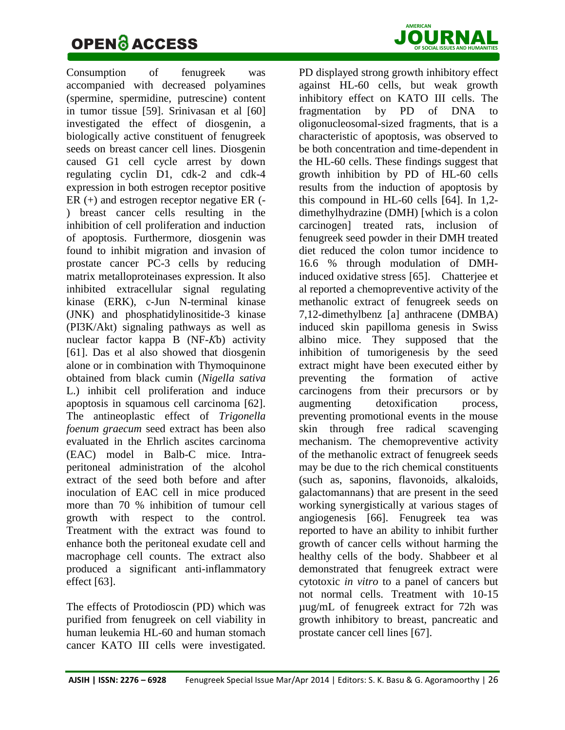# **OPEN & ACCESS** JOURN



Consumption of fenugreek was accompanied with decreased polyamines (spermine, spermidine, putrescine) content in tumor tissue [59]. Srinivasan et al [60] investigated the effect of diosgenin, a biologically active constituent of fenugreek seeds on breast cancer cell lines. Diosgenin caused G1 cell cycle arrest by down regulating cyclin D1, cdk-2 and cdk-4 expression in both estrogen receptor positive ER (+) and estrogen receptor negative ER (- ) breast cancer cells resulting in the inhibition of cell proliferation and induction of apoptosis. Furthermore, diosgenin was found to inhibit migration and invasion of prostate cancer PC-3 cells by reducing matrix metalloproteinases expression. It also inhibited extracellular signal regulating kinase (ERK), c-Jun N-terminal kinase (JNK) and phosphatidylinositide-3 kinase (PI3K/Akt) signaling pathways as well as nuclear factor kappa B (NF-*Κ*b) activity [61]. Das et al also showed that diosgenin alone or in combination with Thymoquinone obtained from black cumin (*Nigella sativa* L.) inhibit cell proliferation and induce apoptosis in squamous cell carcinoma [62]. The antineoplastic effect of *Trigonella foenum graecum* seed extract has been also evaluated in the Ehrlich ascites carcinoma (EAC) model in Balb-C mice. Intraperitoneal administration of the alcohol extract of the seed both before and after inoculation of EAC cell in mice produced more than 70 % inhibition of tumour cell growth with respect to the control. Treatment with the extract was found to enhance both the peritoneal exudate cell and macrophage cell counts. The extract also produced a significant anti-inflammatory effect [63].

The effects of Protodioscin (PD) which was purified from fenugreek on cell viability in human leukemia HL-60 and human stomach cancer KATO III cells were investigated.

PD displayed strong growth inhibitory effect against HL-60 cells, but weak growth inhibitory effect on KATO III cells. The fragmentation by PD of DNA to oligonucleosomal-sized fragments, that is a characteristic of apoptosis, was observed to be both concentration and time-dependent in the HL-60 cells. These findings suggest that growth inhibition by PD of HL-60 cells results from the induction of apoptosis by this compound in HL-60 cells [64]. In 1,2 dimethylhydrazine (DMH) [which is a colon carcinogen] treated rats, inclusion of fenugreek seed powder in their DMH treated diet reduced the colon tumor incidence to 16.6 % through modulation of DMHinduced oxidative stress [65]. [Chatterjee](http://www.ncbi.nlm.nih.gov/pubmed/?term=Chatterjee%20S%5Bauth%5D) et al reported a chemopreventive activity of the methanolic extract of fenugreek seeds on 7,12-dimethylbenz [a] anthracene (DMBA) induced skin papilloma genesis in Swiss albino mice. They supposed that the inhibition of tumorigenesis by the seed extract might have been executed either by preventing the formation of active carcinogens from their precursors or by augmenting detoxification process. preventing promotional events in the mouse skin through free radical scavenging mechanism. The chemopreventive activity of the methanolic extract of fenugreek seeds may be due to the rich chemical constituents (such as, saponins, flavonoids, alkaloids, galactomannans) that are present in the seed working synergistically at various stages of angiogenesis [66]. Fenugreek tea was reported to have an ability to inhibit further growth of cancer cells without harming the healthy cells of the body. Shabbeer et al demonstrated that fenugreek extract were cytotoxic *in vitro* to a panel of cancers but not normal cells. Treatment with 10-15 µug/mL of fenugreek extract for 72h was growth inhibitory to breast, pancreatic and prostate cancer cell lines [67].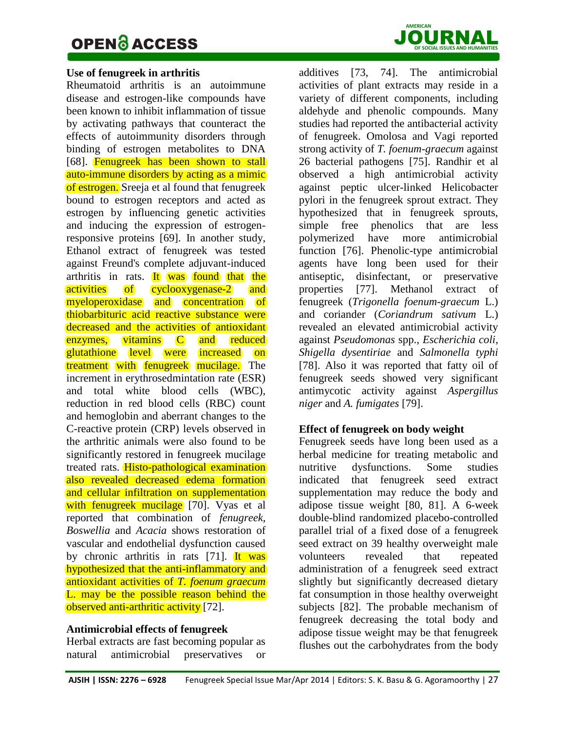### **OPEN & ACCESS** JOURN



#### **Use of fenugreek in arthritis**

Rheumatoid arthritis is an autoimmune disease and estrogen-like compounds have been known to inhibit inflammation of tissue by activating pathways that counteract the effects of autoimmunity disorders through binding of estrogen metabolites to DNA [68]. Fenugreek has been shown to stall auto-immune disorders by acting as a mimic of estrogen. Sreeja et al found that fenugreek bound to estrogen receptors and acted as estrogen by influencing genetic activities and inducing the expression of estrogenresponsive proteins [69]. In another study, Ethanol extract of fenugreek was tested against Freund's complete adjuvant-induced arthritis in rats. It was found that the activities of cyclooxygenase-2 and myeloperoxidase and concentration of thiobarbituric acid reactive substance were decreased and the activities of antioxidant enzymes, vitamins C and reduced glutathione level were increased on treatment with fenugreek mucilage. The increment in erythrosedmintation rate (ESR) and total white blood cells (WBC), reduction in red blood cells (RBC) count and hemoglobin and aberrant changes to the C-reactive protein (CRP) levels observed in the arthritic animals were also found to be significantly restored in fenugreek mucilage treated rats. Histo-pathological examination also revealed decreased edema formation and cellular infiltration on supplementation with fenugreek mucilage [70]. Vyas et al reported that combination of *fenugreek, Boswellia* and *Acacia* shows restoration of vascular and endothelial dysfunction caused by chronic arthritis in rats  $[71]$ . It was hypothesized that the anti-inflammatory and antioxidant activities of *T. foenum graecum* L. may be the possible reason behind the observed anti-arthritic activity [72].

#### **Antimicrobial effects of fenugreek**

Herbal extracts are fast becoming popular as natural antimicrobial preservatives or

additives [73, 74]. The antimicrobial activities of plant extracts may reside in a variety of different components, including aldehyde and phenolic compounds. Many studies had reported the antibacterial activity of fenugreek. Omolosa and Vagi reported strong activity of *T. foenum-graecum* against 26 bacterial pathogens [75]. Randhir et al observed a high antimicrobial activity against peptic ulcer-linked Helicobacter pylori in the fenugreek sprout extract. They hypothesized that in fenugreek sprouts, simple free phenolics that are less polymerized have more antimicrobial function [76]. Phenolic-type antimicrobial agents have long been used for their antiseptic, disinfectant, or preservative properties [77]. Methanol extract of fenugreek (*Trigonella foenum-graecum* L.) and coriander (*Coriandrum sativum* L.) revealed an elevated antimicrobial activity against *Pseudomonas* spp., *Escherichia coli*, *Shigella dysentiriae* and *Salmonella typhi* [78]. Also it was reported that fatty oil of fenugreek seeds showed very significant antimycotic activity against *Aspergillus niger* and *A. fumigates* [79].

#### **Effect of fenugreek on body weight**

Fenugreek seeds have long been used as a herbal medicine for treating metabolic and nutritive dysfunctions. Some studies indicated that fenugreek seed extract supplementation may reduce the body and adipose tissue weight [80, 81]. A 6-week double-blind randomized placebo-controlled parallel trial of a fixed dose of a fenugreek seed extract on 39 healthy overweight male volunteers revealed that repeated administration of a fenugreek seed extract slightly but significantly decreased dietary fat consumption in those healthy overweight subjects [82]. The probable mechanism of fenugreek decreasing the total body and adipose tissue weight may be that fenugreek flushes out the carbohydrates from the body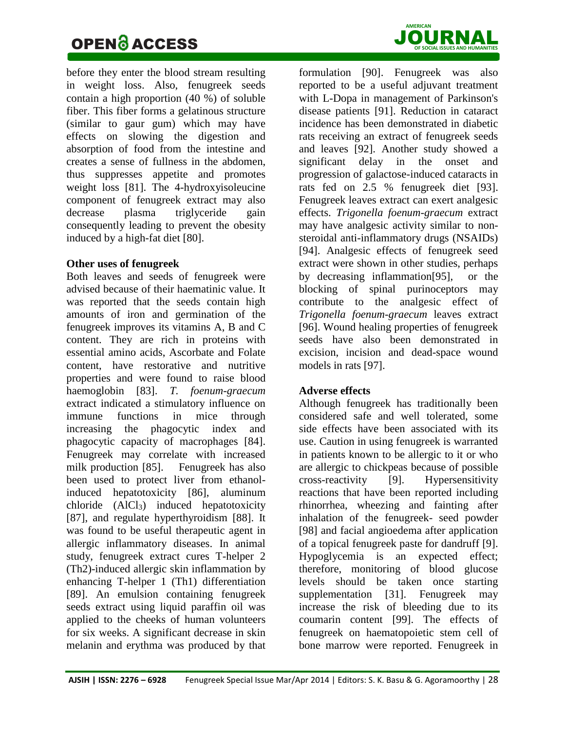

before they enter the blood stream resulting in weight loss. Also, fenugreek seeds contain a high proportion (40 %) of soluble fiber. This fiber forms a gelatinous structure (similar to gaur gum) which may have effects on slowing the digestion and absorption of food from the intestine and creates a sense of fullness in the abdomen, thus suppresses appetite and promotes weight loss [81]. The 4-hydroxyisoleucine component of fenugreek extract may also decrease plasma triglyceride gain consequently leading to prevent the obesity induced by a high-fat diet [80].

#### **Other uses of fenugreek**

Both leaves and seeds of fenugreek were advised because of their haematinic value. It was reported that the seeds contain high amounts of iron and germination of the fenugreek improves its vitamins A, B and C content. They are rich in proteins with essential amino acids, Ascorbate and Folate content, have restorative and nutritive properties and were found to raise blood haemoglobin [83]. *T. foenum-graecum* extract indicated a stimulatory influence on immune functions in mice through increasing the phagocytic index and phagocytic capacity of macrophages [84]. Fenugreek may correlate with increased milk production [85]. Fenugreek has also been used to protect liver from ethanolinduced hepatotoxicity [86], aluminum chloride (AlCl3) induced hepatotoxicity [87], and regulate hyperthyroidism [88]. It was found to be useful therapeutic agent in allergic inflammatory diseases. In animal study, fenugreek extract cures T-helper 2 (Th2)-induced allergic skin inflammation by enhancing T-helper 1 (Th1) differentiation [89]. An emulsion containing fenugreek seeds extract using liquid paraffin oil was applied to the cheeks of human volunteers for six weeks. A significant decrease in skin melanin and erythma was produced by that

formulation [90]. Fenugreek was also reported to be a useful adjuvant treatment with L-Dopa in management of Parkinson's disease patients [91]. Reduction in cataract incidence has been demonstrated in diabetic rats receiving an extract of fenugreek seeds and leaves [92]. Another study showed a significant delay in the onset and progression of galactose-induced cataracts in rats fed on 2.5 % fenugreek diet [93]. Fenugreek leaves extract can exert analgesic effects. *Trigonella foenum-graecum* extract may have analgesic activity similar to nonsteroidal anti-inflammatory drugs (NSAIDs) [94]. Analgesic effects of fenugreek seed extract were shown in other studies, perhaps by decreasing inflammation[95], or the blocking of spinal purinoceptors may contribute to the analgesic effect of *Trigonella foenum-graecum* leaves extract [96]. Wound healing properties of fenugreek seeds have also been demonstrated in excision, incision and dead-space wound models in rats [97].

### **Adverse effects**

Although fenugreek has traditionally been considered safe and well tolerated, some side effects have been associated with its use. Caution in using fenugreek is warranted in patients known to be allergic to it or who are allergic to chickpeas because of possible cross-reactivity [9]. Hypersensitivity reactions that have been reported including rhinorrhea, wheezing and fainting after inhalation of the fenugreek- seed powder [98] and facial angioedema after application of a topical fenugreek paste for dandruff [9]. Hypoglycemia is an expected effect; therefore, monitoring of blood glucose levels should be taken once starting supplementation [31]. Fenugreek may increase the risk of bleeding due to its coumarin content [99]. The effects of fenugreek on haematopoietic stem cell of bone marrow were reported. Fenugreek in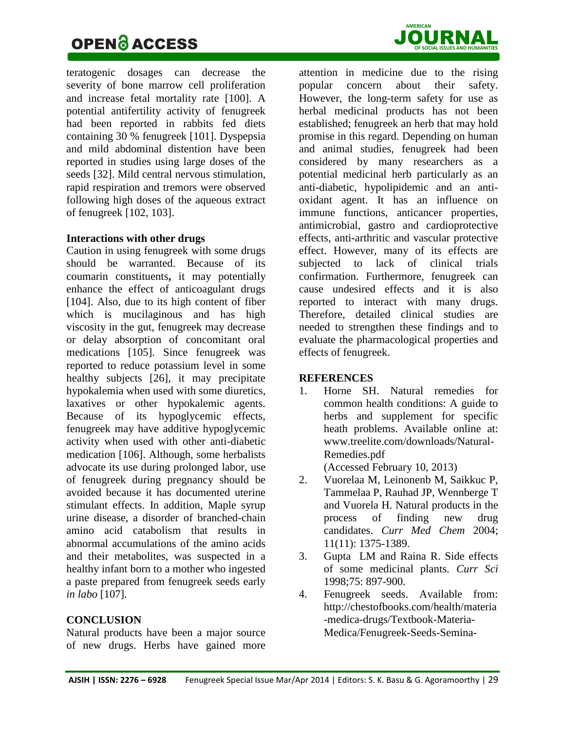

teratogenic dosages can decrease the severity of bone marrow cell proliferation and increase fetal mortality rate [100]. A potential antifertility activity of fenugreek had been reported in rabbits fed diets containing 30 % fenugreek [101]. Dyspepsia and mild abdominal distention have been reported in studies using large doses of the seeds [32]. Mild central nervous stimulation, rapid respiration and tremors were observed following high doses of the aqueous extract of fenugreek [102, 103].

### **Interactions with other drugs**

Caution in using fenugreek with some drugs should be warranted. Because of its coumarin constituents**,** it may potentially enhance the effect of anticoagulant drugs [104]. Also, due to its high content of fiber which is mucilaginous and has high viscosity in the gut, fenugreek may decrease or delay absorption of concomitant oral medications [105]. Since fenugreek was reported to reduce potassium level in some healthy subjects [26], it may precipitate hypokalemia when used with some diuretics, laxatives or other hypokalemic agents. Because of its hypoglycemic effects, fenugreek may have additive hypoglycemic activity when used with other anti-diabetic medication [106]. Although, some herbalists advocate its use during prolonged labor, use of fenugreek during pregnancy should be avoided because it has documented uterine stimulant effects. In addition, Maple syrup urine disease, a disorder of branched-chain amino acid catabolism that results in abnormal accumulations of the amino acids and their metabolites, was suspected in a healthy infant born to a mother who ingested a paste prepared from fenugreek seeds early *in labo* [107].

### **CONCLUSION**

Natural products have been a major source of new drugs. Herbs have gained more

attention in medicine due to the rising popular concern about their safety. However, the long-term safety for use as herbal medicinal products has not been established; fenugreek an herb that may hold promise in this regard. Depending on human and animal studies, fenugreek had been considered by many researchers as a potential medicinal herb particularly as an anti-diabetic, hypolipidemic and an antioxidant agent. It has an influence on immune functions, anticancer properties, antimicrobial, gastro and cardioprotective effects, anti-arthritic and vascular protective effect. However, many of its effects are subjected to lack of clinical trials confirmation. Furthermore, fenugreek can cause undesired effects and it is also reported to interact with many drugs. Therefore, detailed clinical studies are needed to strengthen these findings and to evaluate the pharmacological properties and effects of fenugreek.

### **REFERENCES**

1. Horne SH. Natural remedies for common health conditions: A guide to herbs and supplement for specific heath problems. Available online at: [www.treelite.com/downloads/Natural-](http://www.treelite.com/downloads/Natural-Remedies.pdf)[Remedies.pdf](http://www.treelite.com/downloads/Natural-Remedies.pdf)

(Accessed February 10, 2013)

- 2. Vuorelaa M, Leinonenb M, Saikkuc P, Tammelaa P, Rauhad JP, Wennberge T and Vuorela H. Natural products in the process of finding new drug candidates. *Curr Med Chem* 2004; 11(11): 1375-1389.
- 3. Gupta LM and Raina R. Side effects of some medicinal plants. *[Curr Sci](http://www.ias.ac.in/currsci/nov10/articles15.htm)* [1998;75: 897-900.](http://www.ias.ac.in/currsci/nov10/articles15.htm)
- 4. Fenugreek seeds. Available from: [http://chestofbooks.com/health/materia](http://chestofbooks.com/health/materia-medica-drugs/Textbook-Materia-Medica/Fenugreek-Seeds-Semina-Foeni-Graeci.html) [-medica-drugs/Textbook-Materia-](http://chestofbooks.com/health/materia-medica-drugs/Textbook-Materia-Medica/Fenugreek-Seeds-Semina-Foeni-Graeci.html)[Medica/Fenugreek-Seeds-Semina-](http://chestofbooks.com/health/materia-medica-drugs/Textbook-Materia-Medica/Fenugreek-Seeds-Semina-Foeni-Graeci.html)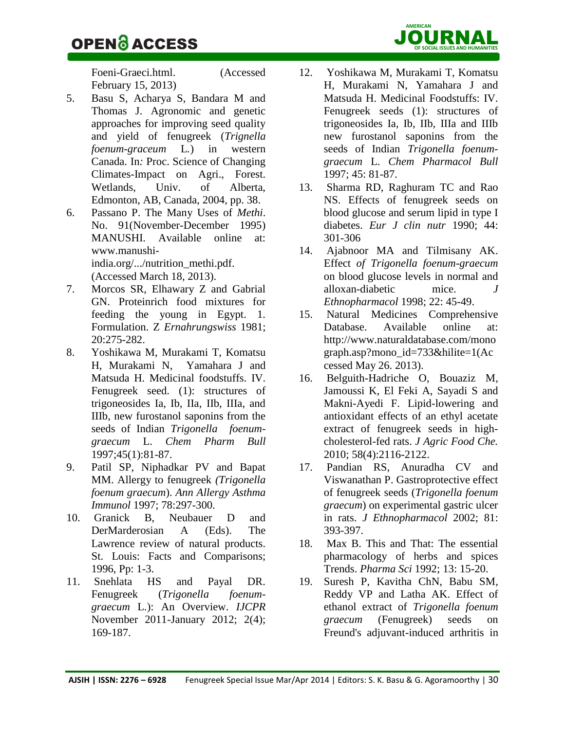[Foeni-Graeci.html.](http://chestofbooks.com/health/materia-medica-drugs/Textbook-Materia-Medica/Fenugreek-Seeds-Semina-Foeni-Graeci.html) (Accessed February 15, 2013)

- 5. Basu S, Acharya S, Bandara M and Thomas J. Agronomic and genetic approaches for improving seed quality and yield of fenugreek (*Trignella foenum-graceum* L*.*) in western Canada. In*:* Proc. Science of Changing Climates-Impact on Agri., Forest. Wetlands, Univ. of Alberta, Edmonton, AB, Canada, 2004, pp. 38.
- 6. Passano P. The Many Uses of *Methi*. No. 91(November-December 1995) MANUSHI. Available online at: [www.manushi](http://www.manushi-india.org/.../nutrition_methi.pdf)[india.org/.../nutrition\\_methi.pdf.](http://www.manushi-india.org/.../nutrition_methi.pdf) (Accessed March 18, 2013).
- 7. Morcos SR, Elhawary Z and Gabrial GN. Proteinrich food mixtures for feeding the young in Egypt. 1. Formulation. Z *Ernahrungswiss* 1981; 20:275-282.
- 8. Yoshikawa M, Murakami T, Komatsu H, [Murakami](http://www.researchgate.net/researcher/65879796_N_Murakami/) N, [Yamahara](http://www.researchgate.net/researcher/46108099_J_Yamahara/) J and [Matsuda](http://www.researchgate.net/researcher/62743711_H_Matsuda/) H. Medicinal foodstuffs. IV. Fenugreek seed. (1): structures of trigoneosides Ia, Ib, IIa, IIb, IIIa, and IIIb, new furostanol saponins from the seeds of Indian *Trigonella foenumgraecum* L. *Chem Pharm Bull*  1997;45(1):81-87.
- 9. Patil SP, Niphadkar PV and Bapat MM. Allergy to fenugreek *(Trigonella foenum graecum*). *Ann Allergy Asthma Immunol* 1997; 78:297-300.
- 10. Granick B, Neubauer D and DerMarderosian A (Eds). The Lawrence review of natural products. St. Louis: Facts and Comparisons; 1996, Pp: 1-3.
- 11. Snehlata HS and Payal DR. Fenugreek (*Trigonella foenumgraecum* L.): An Overview. *IJCPR* November 2011-January 2012; 2(4); 169-187.
- 12. Yoshikawa M, Murakami T, Komatsu H, Murakami N, Yamahara J and Matsuda H. Medicinal Foodstuffs: IV. Fenugreek seeds (1): structures of trigoneosides Ia, Ib, IIb, IIIa and IIIb new furostanol saponins from the seeds of Indian *Trigonella foenumgraecum* L. *Chem Pharmacol Bull* 1997; 45: 81-87.
- 13. Sharma RD, Raghuram TC and Rao NS. Effects of fenugreek seeds on blood glucose and serum lipid in type I diabetes. *Eur J clin nutr* 1990; 44: 301-306
- 14. Ajabnoor MA and Tilmisany AK. Effect *of Trigonella foenum-graecum*  on blood glucose levels in normal and alloxan-diabetic mice. *J Ethnopharmacol* 1998; 22: 45-49.
- 15. Natural Medicines Comprehensive Database. Available online at: [http://www.naturaldatabase.com/mono](http://www.naturaldatabase.com/monograph.asp?mono_id=733&hilite=1(Accessed) [graph.asp?mono\\_id=733&hilite=1\(Ac](http://www.naturaldatabase.com/monograph.asp?mono_id=733&hilite=1(Accessed) [cessed](http://www.naturaldatabase.com/monograph.asp?mono_id=733&hilite=1(Accessed) May 26. 2013).
- 16. [Belguith-Hadriche O,](http://www.ncbi.nlm.nih.gov/pubmed?term=Belguith-Hadriche%20O%5BAuthor%5D&cauthor=true&cauthor_uid=20108903) [Bouaziz M,](http://www.ncbi.nlm.nih.gov/pubmed?term=Bouaziz%20M%5BAuthor%5D&cauthor=true&cauthor_uid=20108903) [Jamoussi K,](http://www.ncbi.nlm.nih.gov/pubmed?term=Jamoussi%20K%5BAuthor%5D&cauthor=true&cauthor_uid=20108903) [El Feki A,](http://www.ncbi.nlm.nih.gov/pubmed?term=El%20Feki%20A%5BAuthor%5D&cauthor=true&cauthor_uid=20108903) [Sayadi S](http://www.ncbi.nlm.nih.gov/pubmed?term=Sayadi%20S%5BAuthor%5D&cauthor=true&cauthor_uid=20108903) and [Makni-Ayedi F.](http://www.ncbi.nlm.nih.gov/pubmed?term=Makni-Ayedi%20F%5BAuthor%5D&cauthor=true&cauthor_uid=20108903) Lipid-lowering and antioxidant effects of an ethyl acetate extract of fenugreek seeds in highcholesterol-fed rats. *[J Agric Food Che.](http://www.ncbi.nlm.nih.gov/pubmed/20108903)* 2010; 58(4):2116-2122.
- 17. Pandian RS, Anuradha CV and Viswanathan P. Gastroprotective effect of fenugreek seeds (*Trigonella foenum graecum*) on experimental gastric ulcer in rats. *J Ethnopharmacol* 2002; 81: 393-397.
- 18. Max B. This and That: The essential pharmacology of herbs and spices Trends. *Pharma Sci* 1992; 13: 15-20.
- 19. [Suresh P,](http://www.ncbi.nlm.nih.gov/pubmed?term=Suresh%20P%5BAuthor%5D&cauthor=true&cauthor_uid=22395729) [Kavitha ChN,](http://www.ncbi.nlm.nih.gov/pubmed?term=Kavitha%20ChN%5BAuthor%5D&cauthor=true&cauthor_uid=22395729) [Babu SM,](http://www.ncbi.nlm.nih.gov/pubmed?term=Babu%20SM%5BAuthor%5D&cauthor=true&cauthor_uid=22395729) [Reddy VP](http://www.ncbi.nlm.nih.gov/pubmed?term=Reddy%20VP%5BAuthor%5D&cauthor=true&cauthor_uid=22395729) and [Latha AK.](http://www.ncbi.nlm.nih.gov/pubmed?term=Latha%20AK%5BAuthor%5D&cauthor=true&cauthor_uid=22395729) Effect of ethanol extract of *Trigonella foenum graecum* (Fenugreek) seeds on Freund's adjuvant-induced arthritis in

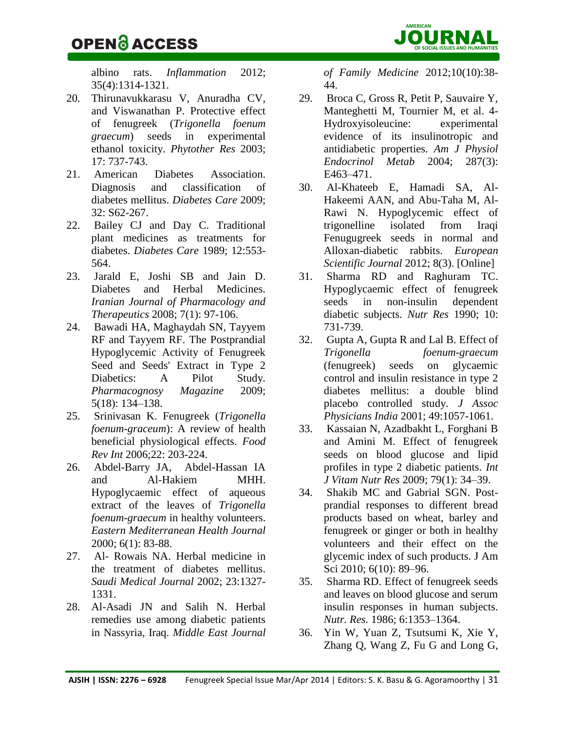## OPEN ACCESS JOUR **OF SOCIAL ISSUES**N**AND HUMANITIES** AL

albino rats. *[Inflammation](http://www.ncbi.nlm.nih.gov/pubmed/22395729)* 2012; 35(4):1314-1321.

- 20. Thirunavukkarasu V, Anuradha CV, and Viswanathan P. Protective effect of fenugreek (*Trigonella foenum graecum*) seeds in experimental ethanol toxicity. *Phytother Res* 2003; 17: 737-743.
- 21. American Diabetes Association. Diagnosis and classification of diabetes mellitus. *Diabetes Care* 2009; 32: S62-267.
- 22. Bailey CJ and Day C. Traditional plant medicines as treatments for diabetes. *Diabetes Care* 1989; 12:553- 564.
- 23. Jarald E, Joshi SB and Jain D. Diabetes and Herbal Medicines. *Iranian Journal of Pharmacology and Therapeutics* 2008; 7(1): 97-106.
- 24. Bawadi HA, Maghaydah SN, Tayyem RF and Tayyem RF. The Postprandial Hypoglycemic Activity of Fenugreek Seed and Seeds' Extract in Type 2 Diabetics: A Pilot Study. *Pharmacognosy Magazine* 2009; 5(18): 134–138.
- 25. Srinivasan K. Fenugreek (*Trigonella foenum-graceum*): A review of health beneficial physiological effects. *Food Rev Int* 2006;22: 203-224.
- 26. [Abdel-Barry JA,](http://www.cabdirect.org/search.html?q=au%3A%22Abdel-Barry%2C+J.+A.%22) [Abdel-Hassan IA](http://www.cabdirect.org/search.html?q=au%3A%22Abdel-Hassan%2C+I.+A.%22) and [Al-Hakiem MHH.](http://www.cabdirect.org/search.html?q=au%3A%22Al-Hakiem%2C+M.+H.+H.%22)  Hypoglycaemic effect of aqueous extract of the leaves of *Trigonella foenum-graecum* in healthy volunteers. *[Eastern Mediterranean Health Journal](http://www.cabdirect.org/search.html?q=do%3A%22Eastern+Mediterranean+Health+Journal%22)* 2000; 6(1): 83-88.
- 27. Al- Rowais NA. Herbal medicine in the treatment of diabetes mellitus. *Saudi Medical Journal* 2002; 23:1327- 1331.
- 28. Al-Asadi JN and Salih N. Herbal remedies use among diabetic patients in Nassyria, Iraq. *Middle East Journal*

*of Family Medicine* 2012;10(10):38- 44.

- 29. Broca C, Gross R, Petit P, Sauvaire Y, Manteghetti M, Tournier M, et al. 4- Hydroxyisoleucine: experimental evidence of its insulinotropic and antidiabetic properties. *Am J Physiol Endocrinol Metab* 2004; 287(3): E463–471.
- 30. Al-Khateeb E, Hamadi SA, Al-Hakeemi AAN, and Abu-Taha M, Al-Rawi N. Hypoglycemic effect of trigonelline isolated from Iraqi Fenugugreek seeds in normal and Alloxan-diabetic rabbits. *European Scientific Journal* 2012; 8(3). [Online]
- 31. Sharma RD and Raghuram TC. Hypoglycaemic effect of fenugreek seeds in non-insulin dependent diabetic subjects. *Nutr Res* 1990; 10: 731-739.
- 32. Gupta A, Gupta R and Lal B. Effect of *Trigonella foenum-graecum*  (fenugreek) seeds on glycaemic control and insulin resistance in type 2 diabetes mellitus: a double blind placebo controlled study. *J Assoc Physicians India* 2001; 49:1057-1061.
- 33. Kassaian N, Azadbakht L, Forghani B and Amini M. Effect of fenugreek seeds on blood glucose and lipid profiles in type 2 diabetic patients. *Int J Vitam Nutr Res* 2009; 79(1): 34–39.
- 34. Shakib MC and Gabrial SGN. Postprandial responses to different bread products based on wheat, barley and fenugreek or ginger or both in healthy volunteers and their effect on the glycemic index of such products. J Am Sci 2010; 6(10): 89-96.
- 35. Sharma RD. Effect of fenugreek seeds and leaves on blood glucose and serum insulin responses in human subjects. *Nutr. Res.* 1986; 6:1353–1364.
- 36. Yin W, Yuan Z, Tsutsumi K, Xie Y, Zhang Q, [Wang Z,](http://www.ncbi.nlm.nih.gov/pubmed?term=Wang%20Z%5BAuthor%5D&cauthor=true&cauthor_uid=12745668) [Fu G](http://www.ncbi.nlm.nih.gov/pubmed?term=Fu%20G%5BAuthor%5D&cauthor=true&cauthor_uid=12745668) and [Long G,](http://www.ncbi.nlm.nih.gov/pubmed?term=Long%20G%5BAuthor%5D&cauthor=true&cauthor_uid=12745668)

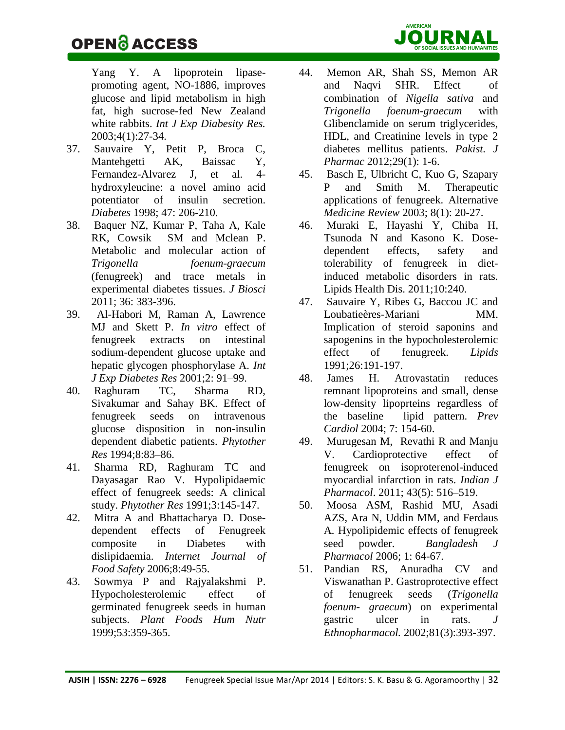[Yang Y.](http://www.ncbi.nlm.nih.gov/pubmed?term=Yang%20Y%5BAuthor%5D&cauthor=true&cauthor_uid=12745668) A lipoprotein lipasepromoting agent, NO-1886, improves glucose and lipid metabolism in high fat, high sucrose-fed New Zealand white rabbits. *[Int J Exp Diabesity Res.](http://www.ncbi.nlm.nih.gov/pubmed/?term=Yin+W%2C+Yuan+Z%2C+Tsutsumi+K%2C+Xie+Y%2C+Zhang+Q+et+al.+A+lipoprotein+lipase-promoting+agent%2C+NO-1886%2C+improves+glucose+and+lipid+metabolism+in+high+fat%2C+high+sucrose-fed+New+Zealand+white+rabbits.+Exp.+Diabesity+Res+2003%3B4%3A+27-34.)* 2003;4(1):27-34.

- 37. Sauvaire Y, Petit P, Broca C, Mantehgetti AK, Baissac Y, Fernandez-Alvarez J, et al. 4 hydroxyleucine: a novel amino acid potentiator of insulin secretion. *Diabetes* 1998; 47: 206-210.
- 38. Baquer NZ, Kumar P, Taha A, Kale RK, Cowsik SM and Mclean P. Metabolic and molecular action of *Trigonella foenum-graecum* (fenugreek) and trace metals in experimental diabetes tissues. *J Biosci* 2011; 36: 383-396.
- 39. Al-Habori M, Raman A, Lawrence MJ and Skett P. *In vitro* effect of fenugreek extracts on intestinal sodium-dependent glucose uptake and hepatic glycogen phosphorylase A. *Int J Exp Diabetes Res* 2001;2: 91–99.
- 40. Raghuram TC, Sharma RD, Sivakumar and Sahay BK. Effect of fenugreek seeds on intravenous glucose disposition in non-insulin dependent diabetic patients. *Phytother Res* 1994;8:83–86.
- 41. Sharma RD, Raghuram TC and Dayasagar Rao V. Hypolipidaemic effect of fenugreek seeds: A clinical study. *Phytother Res* 1991;3:145-147.
- 42. Mitra A and Bhattacharya D. Dosedependent effects of Fenugreek composite in Diabetes with dislipidaemia. *Internet Journal of Food Safety* 2006;8:49-55.
- 43. Sowmya P and Rajyalakshmi P. Hypocholesterolemic effect of germinated fenugreek seeds in human subjects. *Plant Foods Hum Nutr*  1999;53:359-365.
- 44. Memon AR, Shah SS, Memon AR and Naqvi SHR. Effect of combination of *Nigella sativa* and *Trigonella foenum-graecum* with Glibenclamide on serum triglycerides, HDL, and Creatinine levels in type 2 diabetes mellitus patients. *Pakist. J Pharmac* 2012;29(1): 1-6.
- 45. Basch E, Ulbricht C, Kuo G, Szapary P and Smith M. Therapeutic applications of fenugreek. Alternative *Medicine Review* 2003; 8(1): 20-27.
- 46. [Muraki E,](http://www.ncbi.nlm.nih.gov/pubmed?term=Muraki%20E%5BAuthor%5D&cauthor=true&cauthor_uid=22188728) [Hayashi Y,](http://www.ncbi.nlm.nih.gov/pubmed?term=Hayashi%20Y%5BAuthor%5D&cauthor=true&cauthor_uid=22188728) [Chiba H,](http://www.ncbi.nlm.nih.gov/pubmed?term=Chiba%20H%5BAuthor%5D&cauthor=true&cauthor_uid=22188728) [Tsunoda N](http://www.ncbi.nlm.nih.gov/pubmed?term=Tsunoda%20N%5BAuthor%5D&cauthor=true&cauthor_uid=22188728) and [Kasono K.](http://www.ncbi.nlm.nih.gov/pubmed?term=Kasono%20K%5BAuthor%5D&cauthor=true&cauthor_uid=22188728) Dosedependent effects, safety and tolerability of fenugreek in dietinduced metabolic disorders in rats. [Lipids Health Dis.](http://www.ncbi.nlm.nih.gov/pubmed/22188728) 2011;10:240.
- 47. Sauvaire Y, Ribes G, Baccou JC and [Loubatieères-Mariani MM.](http://www.ncbi.nlm.nih.gov/pubmed?term=Loubatie%C3%A8res-Mariani%20MM%5BAuthor%5D&cauthor=true&cauthor_uid=2046485) Implication of steroid saponins and sapogenins in the hypocholesterolemic effect of fenugreek. *Lipids* 1991;26:191-197.
- 48. James H. Atrovastatin reduces remnant lipoproteins and small, dense low-density lipoprteins regardless of the baseline lipid pattern. *Prev Cardiol* 2004; 7: 154-60.
- 49. [Murugesan](http://www.ncbi.nlm.nih.gov/pubmed/?term=Murugesan%20M%5Bauth%5D) M, [Revathi](http://www.ncbi.nlm.nih.gov/pubmed/?term=Revathi%20R%5Bauth%5D) R and [Manju](http://www.ncbi.nlm.nih.gov/pubmed/?term=Manju%20V%5Bauth%5D) V. Cardioprotective effect of fenugreek on isoproterenol-induced myocardial infarction in rats. *Indian J Pharmacol*. 2011; 43(5): 516–519.
- 50. Moosa ASM, Rashid MU, Asadi AZS, Ara N, Uddin MM, and Ferdaus A*.* Hypolipidemic effects of fenugreek seed powder. *Bangladesh J Pharmacol* 2006; 1: 64-67.
- 51. [Pandian RS,](http://www.ncbi.nlm.nih.gov/pubmed?term=Pandian%20RS%5BAuthor%5D&cauthor=true&cauthor_uid=12127242) [Anuradha CV](http://www.ncbi.nlm.nih.gov/pubmed?term=Anuradha%20CV%5BAuthor%5D&cauthor=true&cauthor_uid=12127242) and [Viswanathan P.](http://www.ncbi.nlm.nih.gov/pubmed?term=Viswanathan%20P%5BAuthor%5D&cauthor=true&cauthor_uid=12127242) Gastroprotective effect of fenugreek seeds (*Trigonella foenum- graecum*) on experimental gastric ulcer in rats. *[J](http://www.ncbi.nlm.nih.gov/pubmed/12127242)  [Ethnopharmacol.](http://www.ncbi.nlm.nih.gov/pubmed/12127242)* 2002;81(3):393-397.

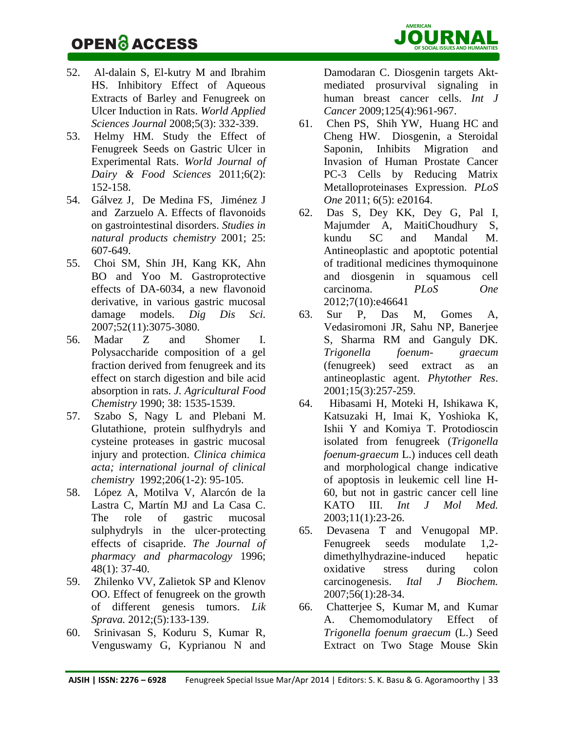

- 52. Al-dalain S, El-kutry M and Ibrahim HS. Inhibitory Effect of Aqueous Extracts of Barley and Fenugreek on Ulcer Induction in Rats. *World Applied Sciences Journal* 2008;5(3): 332-339.
- 53. Helmy HM. Study the Effect of Fenugreek Seeds on Gastric Ulcer in Experimental Rats. *World Journal of Dairy & Food Sciences* 2011;6(2): 152-158.
- 54. [Gálvez](http://www.sciencedirect.com/science/article/pii/S1572599501800193) J, [De Medina](http://www.sciencedirect.com/science/article/pii/S1572599501800193) FS, [Jiménez](http://www.sciencedirect.com/science/article/pii/S1572599501800193) J and [Zarzuelo](http://www.sciencedirect.com/science/article/pii/S1572599501800193) A. Effects of flavonoids on gastrointestinal disorders. *Studies in natural products chemistry* 2001; 25: 607-649.
- 55. [Choi SM,](http://www.ncbi.nlm.nih.gov/pubmed?term=Choi%20SM%5BAuthor%5D&cauthor=true&cauthor_uid=17406830) [Shin JH,](http://www.ncbi.nlm.nih.gov/pubmed?term=Shin%20JH%5BAuthor%5D&cauthor=true&cauthor_uid=17406830) [Kang KK,](http://www.ncbi.nlm.nih.gov/pubmed?term=Kang%20KK%5BAuthor%5D&cauthor=true&cauthor_uid=17406830) [Ahn](http://www.ncbi.nlm.nih.gov/pubmed?term=Ahn%20BO%5BAuthor%5D&cauthor=true&cauthor_uid=17406830)  [BO](http://www.ncbi.nlm.nih.gov/pubmed?term=Ahn%20BO%5BAuthor%5D&cauthor=true&cauthor_uid=17406830) and [Yoo M.](http://www.ncbi.nlm.nih.gov/pubmed?term=Yoo%20M%5BAuthor%5D&cauthor=true&cauthor_uid=17406830) Gastroprotective effects of DA-6034, a new flavonoid derivative, in various gastric mucosal damage models. *[Dig Dis Sci.](http://www.ncbi.nlm.nih.gov/pubmed/17406830)* 2007;52(11):3075-3080.
- 56. Madar Z and Shomer I. Polysaccharide composition of a gel fraction derived from fenugreek and its effect on starch digestion and bile acid absorption in rats. *J. Agricultural Food Chemistry* 1990; 38: 1535-1539.
- 57. Szabo S, Nagy L and Plebani M. Glutathione, protein sulfhydryls and cysteine proteases in gastric mucosal injury and protection. *Clinica chimica acta; international journal of clinical chemistry* 1992;206(1-2): 95-105.
- 58. López A, Motilva V, Alarcón de la Lastra C, Martín MJ and La Casa C. The role of gastric mucosal sulphydryls in the ulcer-protecting effects of cisapride. *The Journal of pharmacy and pharmacology* 1996; 48(1): 37-40.
- 59. [Zhilenko VV,](http://www.ncbi.nlm.nih.gov/pubmed?term=Zhilenko%20VV%5BAuthor%5D&cauthor=true&cauthor_uid=23534282) [Zalietok SP](http://www.ncbi.nlm.nih.gov/pubmed?term=Zalietok%20SP%5BAuthor%5D&cauthor=true&cauthor_uid=23534282) and [Klenov](http://www.ncbi.nlm.nih.gov/pubmed?term=Klenov%20OO%5BAuthor%5D&cauthor=true&cauthor_uid=23534282)  [OO.](http://www.ncbi.nlm.nih.gov/pubmed?term=Klenov%20OO%5BAuthor%5D&cauthor=true&cauthor_uid=23534282) Effect of fenugreek on the growth of different genesis tumors. *[Lik](http://www.ncbi.nlm.nih.gov/pubmed/23534282)  [Sprava.](http://www.ncbi.nlm.nih.gov/pubmed/23534282)* 2012;(5):133-139.
- 60. [Srinivasan S,](http://www.ncbi.nlm.nih.gov/pubmed?term=Srinivasan%20S%5BAuthor%5D&cauthor=true&cauthor_uid=19384950) [Koduru S,](http://www.ncbi.nlm.nih.gov/pubmed?term=Koduru%20S%5BAuthor%5D&cauthor=true&cauthor_uid=19384950) [Kumar R,](http://www.ncbi.nlm.nih.gov/pubmed?term=Kumar%20R%5BAuthor%5D&cauthor=true&cauthor_uid=19384950) [Venguswamy G,](http://www.ncbi.nlm.nih.gov/pubmed?term=Venguswamy%20G%5BAuthor%5D&cauthor=true&cauthor_uid=19384950) [Kyprianou N](http://www.ncbi.nlm.nih.gov/pubmed?term=Kyprianou%20N%5BAuthor%5D&cauthor=true&cauthor_uid=19384950) and

[Damodaran C.](http://www.ncbi.nlm.nih.gov/pubmed?term=Damodaran%20C%5BAuthor%5D&cauthor=true&cauthor_uid=19384950) Diosgenin targets Aktmediated prosurvival signaling in human breast cancer cells. *[Int J](http://www.ncbi.nlm.nih.gov/pubmed/?term=Effect+of+Diosgenin+(Fenugreek)+on+breast+cancer+cells)  [Cancer](http://www.ncbi.nlm.nih.gov/pubmed/?term=Effect+of+Diosgenin+(Fenugreek)+on+breast+cancer+cells)* 2009;125(4):961-967.

- 61. [Chen](http://www.ncbi.nlm.nih.gov/pubmed/?term=Chen%20PS%5Bauth%5D) PS, [Shih](http://www.ncbi.nlm.nih.gov/pubmed/?term=Shih%20YW%5Bauth%5D) YW, [Huang](http://www.ncbi.nlm.nih.gov/pubmed/?term=Huang%20HC%5Bauth%5D) HC and [Cheng](http://www.ncbi.nlm.nih.gov/pubmed/?term=Cheng%20HW%5Bauth%5D) HW. Diosgenin, a Steroidal Saponin, Inhibits Migration and Invasion of Human Prostate Cancer PC-3 Cells by Reducing Matrix Metalloproteinases Expression. *PLoS One* 2011; 6(5): e20164.
- 62. [Das S,](http://www.ncbi.nlm.nih.gov/pubmed?term=Das%20S%5BAuthor%5D&cauthor=true&cauthor_uid=23077516) [Dey KK,](http://www.ncbi.nlm.nih.gov/pubmed?term=Dey%20KK%5BAuthor%5D&cauthor=true&cauthor_uid=23077516) [Dey G,](http://www.ncbi.nlm.nih.gov/pubmed?term=Dey%20G%5BAuthor%5D&cauthor=true&cauthor_uid=23077516) [Pal I,](http://www.ncbi.nlm.nih.gov/pubmed?term=Pal%20I%5BAuthor%5D&cauthor=true&cauthor_uid=23077516) [Majumder A,](http://www.ncbi.nlm.nih.gov/pubmed?term=Majumder%20A%5BAuthor%5D&cauthor=true&cauthor_uid=23077516) [MaitiChoudhury S,](http://www.ncbi.nlm.nih.gov/pubmed?term=MaitiChoudhury%20S%5BAuthor%5D&cauthor=true&cauthor_uid=23077516) [kundu SC](http://www.ncbi.nlm.nih.gov/pubmed?term=kundu%20SC%5BAuthor%5D&cauthor=true&cauthor_uid=23077516) and [Mandal M.](http://www.ncbi.nlm.nih.gov/pubmed?term=Mandal%20M%5BAuthor%5D&cauthor=true&cauthor_uid=23077516) Antineoplastic and apoptotic potential of traditional medicines thymoquinone and diosgenin in squamous cell carcinoma. *[PLoS One](http://www.ncbi.nlm.nih.gov/pubmed/23077516)* 2012;7(10):e46641
- 63. [Sur P,](http://www.ncbi.nlm.nih.gov/pubmed?term=Sur%20P%5BAuthor%5D&cauthor=true&cauthor_uid=11351364) [Das M,](http://www.ncbi.nlm.nih.gov/pubmed?term=Das%20M%5BAuthor%5D&cauthor=true&cauthor_uid=11351364) [Gomes A,](http://www.ncbi.nlm.nih.gov/pubmed?term=Gomes%20A%5BAuthor%5D&cauthor=true&cauthor_uid=11351364) [Vedasiromoni JR,](http://www.ncbi.nlm.nih.gov/pubmed?term=Vedasiromoni%20JR%5BAuthor%5D&cauthor=true&cauthor_uid=11351364) [Sahu NP,](http://www.ncbi.nlm.nih.gov/pubmed?term=Sahu%20NP%5BAuthor%5D&cauthor=true&cauthor_uid=11351364) [Banerjee](http://www.ncbi.nlm.nih.gov/pubmed?term=Banerjee%20S%5BAuthor%5D&cauthor=true&cauthor_uid=11351364)  [S,](http://www.ncbi.nlm.nih.gov/pubmed?term=Banerjee%20S%5BAuthor%5D&cauthor=true&cauthor_uid=11351364) [Sharma RM](http://www.ncbi.nlm.nih.gov/pubmed?term=Sharma%20RM%5BAuthor%5D&cauthor=true&cauthor_uid=11351364) and [Ganguly DK](http://www.ncbi.nlm.nih.gov/pubmed?term=Ganguly%20DK%5BAuthor%5D&cauthor=true&cauthor_uid=11351364)*. Trigonella foenum- graecum* (fenugreek) seed extract as an antineoplastic agent. *[Phytother Res](http://www.ncbi.nlm.nih.gov/pubmed/11351364)*. 2001;15(3):257-259.
- 64. [Hibasami H,](http://www.ncbi.nlm.nih.gov/pubmed?term=Hibasami%20H%5BAuthor%5D&cauthor=true&cauthor_uid=12469212) [Moteki H,](http://www.ncbi.nlm.nih.gov/pubmed?term=Moteki%20H%5BAuthor%5D&cauthor=true&cauthor_uid=12469212) [Ishikawa K,](http://www.ncbi.nlm.nih.gov/pubmed?term=Ishikawa%20K%5BAuthor%5D&cauthor=true&cauthor_uid=12469212) [Katsuzaki H,](http://www.ncbi.nlm.nih.gov/pubmed?term=Katsuzaki%20H%5BAuthor%5D&cauthor=true&cauthor_uid=12469212) [Imai K,](http://www.ncbi.nlm.nih.gov/pubmed?term=Imai%20K%5BAuthor%5D&cauthor=true&cauthor_uid=12469212) [Yoshioka K,](http://www.ncbi.nlm.nih.gov/pubmed?term=Yoshioka%20K%5BAuthor%5D&cauthor=true&cauthor_uid=12469212) [Ishii Y](http://www.ncbi.nlm.nih.gov/pubmed?term=Ishii%20Y%5BAuthor%5D&cauthor=true&cauthor_uid=12469212) and [Komiya T.](http://www.ncbi.nlm.nih.gov/pubmed?term=Komiya%20T%5BAuthor%5D&cauthor=true&cauthor_uid=12469212) Protodioscin isolated from fenugreek (*Trigonella foenum-graecum* L.) induces cell death and morphological change indicative of apoptosis in leukemic cell line H-60, but not in gastric cancer cell line KATO III. *[Int J Mol Med.](http://www.ncbi.nlm.nih.gov/pubmed/12469212)* 2003;11(1):23-26.
- 65. [Devasena T](http://www.ncbi.nlm.nih.gov/pubmed?term=Devasena%20T%5BAuthor%5D&cauthor=true&cauthor_uid=17511351) and [Venugopal MP.](http://www.ncbi.nlm.nih.gov/pubmed?term=Venugopal%20Menon%20P%5BAuthor%5D&cauthor=true&cauthor_uid=17511351) Fenugreek seeds modulate 1,2 dimethylhydrazine-induced hepatic oxidative stress during colon carcinogenesis. *[Ital J Biochem.](http://www.ncbi.nlm.nih.gov/pubmed/17511351)* 2007;56(1):28-34.
- 66. [Chatterjee](http://www.ncbi.nlm.nih.gov/pubmed/?term=Chatterjee%20S%5Bauth%5D) S, [Kumar](http://www.ncbi.nlm.nih.gov/pubmed/?term=Kumar%20M%5Bauth%5D) M, and [Kumar](http://www.ncbi.nlm.nih.gov/pubmed/?term=Kumar%20A%5Bauth%5D) A. Chemomodulatory Effect of *Trigonella foenum graecum* (L.) Seed Extract on Two Stage Mouse Skin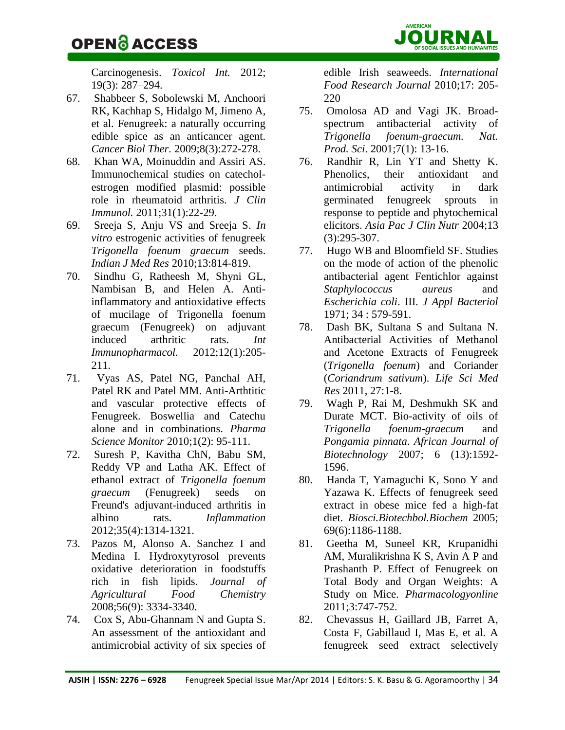**AMERICAN**

Carcinogenesis. *Toxicol Int.* 2012; 19(3): 287–294.

- 67. [Shabbeer S,](http://www.ncbi.nlm.nih.gov/pubmed?term=Shabbeer%20S%5BAuthor%5D&cauthor=true&cauthor_uid=19197146) [Sobolewski M,](http://www.ncbi.nlm.nih.gov/pubmed?term=Sobolewski%20M%5BAuthor%5D&cauthor=true&cauthor_uid=19197146) [Anchoori](http://www.ncbi.nlm.nih.gov/pubmed?term=Anchoori%20RK%5BAuthor%5D&cauthor=true&cauthor_uid=19197146)  [RK,](http://www.ncbi.nlm.nih.gov/pubmed?term=Anchoori%20RK%5BAuthor%5D&cauthor=true&cauthor_uid=19197146) [Kachhap S,](http://www.ncbi.nlm.nih.gov/pubmed?term=Kachhap%20S%5BAuthor%5D&cauthor=true&cauthor_uid=19197146) [Hidalgo M,](http://www.ncbi.nlm.nih.gov/pubmed?term=Hidalgo%20M%5BAuthor%5D&cauthor=true&cauthor_uid=19197146) [Jimeno A,](http://www.ncbi.nlm.nih.gov/pubmed?term=Jimeno%20A%5BAuthor%5D&cauthor=true&cauthor_uid=19197146) et al. Fenugreek: a naturally occurring edible spice as an anticancer agent. *[Cancer Biol Ther.](http://www.ncbi.nlm.nih.gov/pubmed/19197146)* 2009;8(3):272-278.
- 68. [Khan WA,](http://www.ncbi.nlm.nih.gov/pubmed?term=Khan%20WA%5BAuthor%5D&cauthor=true&cauthor_uid=20814812) [Moinuddin](http://www.ncbi.nlm.nih.gov/pubmed?term=Moinuddin%5BAuthor%5D&cauthor=true&cauthor_uid=20814812) and [Assiri AS.](http://www.ncbi.nlm.nih.gov/pubmed?term=Assiri%20AS%5BAuthor%5D&cauthor=true&cauthor_uid=20814812) Immunochemical studies on catecholestrogen modified plasmid: possible role in rheumatoid arthritis. *[J Clin](http://www.ncbi.nlm.nih.gov/pubmed/?term=Immunochemical+Studies+on+Catechol-Estrogen+Modified+Plasmid%3A+Possible+Role+in+Rheumatoid+Arthritis.+Journal+of+Clinical+Immunology+February+2011%2C+Volume+31%2C+Issue+1%2C+pp+22-29)  [Immunol.](http://www.ncbi.nlm.nih.gov/pubmed/?term=Immunochemical+Studies+on+Catechol-Estrogen+Modified+Plasmid%3A+Possible+Role+in+Rheumatoid+Arthritis.+Journal+of+Clinical+Immunology+February+2011%2C+Volume+31%2C+Issue+1%2C+pp+22-29)* 2011;31(1):22-29.
- 69. Sreeja S, Anju VS and Sreeja S. *In vitro* estrogenic activities of fenugreek *Trigonella foenum graecum* seeds. *Indian J Med Res* 2010;13:814-819.
- 70. [Sindhu G,](http://www.ncbi.nlm.nih.gov/pubmed?term=Sindhu%20G%5BAuthor%5D&cauthor=true&cauthor_uid=22155102) [Ratheesh M,](http://www.ncbi.nlm.nih.gov/pubmed?term=Ratheesh%20M%5BAuthor%5D&cauthor=true&cauthor_uid=22155102) [Shyni GL,](http://www.ncbi.nlm.nih.gov/pubmed?term=Shyni%20GL%5BAuthor%5D&cauthor=true&cauthor_uid=22155102) [Nambisan B,](http://www.ncbi.nlm.nih.gov/pubmed?term=Nambisan%20B%5BAuthor%5D&cauthor=true&cauthor_uid=22155102) and [Helen A.](http://www.ncbi.nlm.nih.gov/pubmed?term=Helen%20A%5BAuthor%5D&cauthor=true&cauthor_uid=22155102) Antiinflammatory and antioxidative effects of mucilage of Trigonella foenum graecum (Fenugreek) on adjuvant induced arthritic rats. *[Int](http://www.ncbi.nlm.nih.gov/pubmed/22155102)  [Immunopharmacol.](http://www.ncbi.nlm.nih.gov/pubmed/22155102)* 2012;12(1):205- 211.
- 71. Vyas AS, Patel NG, Panchal AH, Patel RK and Patel MM. Anti-Arthtitic and vascular protective effects of Fenugreek. Boswellia and Catechu alone and in combinations. *Pharma Science Monitor* 2010;1(2): 95-111.
- 72. [Suresh P,](http://www.ncbi.nlm.nih.gov/pubmed?term=Suresh%20P%5BAuthor%5D&cauthor=true&cauthor_uid=22395729) [Kavitha ChN,](http://www.ncbi.nlm.nih.gov/pubmed?term=Kavitha%20ChN%5BAuthor%5D&cauthor=true&cauthor_uid=22395729) [Babu SM,](http://www.ncbi.nlm.nih.gov/pubmed?term=Babu%20SM%5BAuthor%5D&cauthor=true&cauthor_uid=22395729) [Reddy VP](http://www.ncbi.nlm.nih.gov/pubmed?term=Reddy%20VP%5BAuthor%5D&cauthor=true&cauthor_uid=22395729) and [Latha AK.](http://www.ncbi.nlm.nih.gov/pubmed?term=Latha%20AK%5BAuthor%5D&cauthor=true&cauthor_uid=22395729) Effect of ethanol extract of *Trigonella foenum graecum* (Fenugreek) seeds on Freund's adjuvant-induced arthritis in albino rats. *[Inflammation](http://www.ncbi.nlm.nih.gov/pubmed/22395729)* 2012;35(4):1314-1321.
- 73. Pazos M, Alonso A. Sanchez I and Medina I. Hydroxytyrosol prevents oxidative deterioration in foodstuffs rich in fish lipids. *Journal of Agricultural Food Chemistry* 2008;56(9): 3334-3340.
- 74. Cox S, Abu-Ghannam N and Gupta S. An assessment of the antioxidant and antimicrobial activity of six species of

edible Irish seaweeds. *International Food Research Journal* 2010;17: 205- 220

- 75. Omolosa AD and Vagi JK. Broadspectrum antibacterial activity of *Trigonella foenum-graecum. Nat. Prod. Sci*. 2001;7(1): 13-16.
- 76. Randhir R, Lin YT and Shetty K. Phenolics, their antioxidant and antimicrobial activity in dark germinated fenugreek sprouts in response to peptide and phytochemical elicitors. *Asia Pac J Clin Nutr* 2004;13 (3):295-307.
- 77. Hugo WB and Bloomfield SF. Studies on the mode of action of the phenolic antibacterial agent Fentichlor against *Staphylococcus aureus* and *Escherichia coli*. III. *J Appl Bacteriol* 1971; 34 : 579-591.
- 78. Dash BK, Sultana S and Sultana N. Antibacterial Activities of Methanol and Acetone Extracts of Fenugreek (*Trigonella foenum*) and Coriander (*Coriandrum sativum*). *Life Sci Med Res* 2011, 27:1-8.
- 79. Wagh P, Rai M, Deshmukh SK and Durate MCT. Bio-activity of oils of *Trigonella foenum-graecum* and *Pongamia pinnata*. *African Journal of Biotechnology* 2007; 6 (13):1592- 1596.
- 80. Handa T, Yamaguchi K, Sono Y and Yazawa K. Effects of fenugreek seed extract in obese mice fed a high-fat diet. *Biosci.Biotechbol.Biochem* 2005; 69(6):1186-1188.
- 81. Geetha M, Suneel KR, Krupanidhi AM, Muralikrishna K S, Avin A P and Prashanth P. Effect of Fenugreek on Total Body and Organ Weights: A Study on Mice. *Pharmacologyonline*  2011;3:747-752.
- 82. [Chevassus H,](http://www.ncbi.nlm.nih.gov/pubmed?term=Chevassus%20H%5BAuthor%5D&cauthor=true&cauthor_uid=20020282) [Gaillard JB,](http://www.ncbi.nlm.nih.gov/pubmed?term=Gaillard%20JB%5BAuthor%5D&cauthor=true&cauthor_uid=20020282) [Farret A,](http://www.ncbi.nlm.nih.gov/pubmed?term=Farret%20A%5BAuthor%5D&cauthor=true&cauthor_uid=20020282) [Costa F,](http://www.ncbi.nlm.nih.gov/pubmed?term=Costa%20F%5BAuthor%5D&cauthor=true&cauthor_uid=20020282) [Gabillaud I,](http://www.ncbi.nlm.nih.gov/pubmed?term=Gabillaud%20I%5BAuthor%5D&cauthor=true&cauthor_uid=20020282) [Mas E,](http://www.ncbi.nlm.nih.gov/pubmed?term=Mas%20E%5BAuthor%5D&cauthor=true&cauthor_uid=20020282) et al. A fenugreek seed extract selectively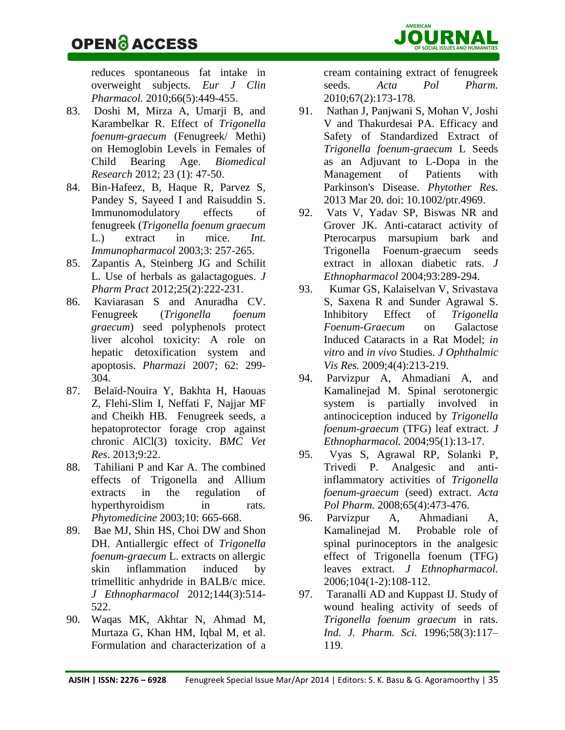reduces spontaneous fat intake in overweight subjects. *[Eur J Clin](http://www.ncbi.nlm.nih.gov/pubmed/20020282)  [Pharmacol.](http://www.ncbi.nlm.nih.gov/pubmed/20020282)* 2010;66(5):449-455.

- 83. Doshi M, Mirza A, Umarji B, and Karambelkar R. Effect of *Trigonella foenum-graecum* (Fenugreek/ Methi) on Hemoglobin Levels in Females of Child Bearing Age. *Biomedical Research* 2012; 23 (1): 47-50.
- 84. Bin-Hafeez, B, Haque R, Parvez S, Pandey S, Sayeed I and Raisuddin S. Immunomodulatory effects of fenugreek (*Trigonella foenum graecum* L.) extract in mice. *[Int.](http://www.sciencedirect.com/science?_ob=ArticleURL&_udi=B6W7N-47MSCRC-1&_user=10&_rdoc=1&_fmt=&_orig=search&_sort=d&view=c&_acct=C000050221&_version=1&_urlVersion=0&_userid=10&md5=fed4f053dfa26ad1fd6c451939a36c6f)  [Immunopharmacol](http://www.sciencedirect.com/science?_ob=ArticleURL&_udi=B6W7N-47MSCRC-1&_user=10&_rdoc=1&_fmt=&_orig=search&_sort=d&view=c&_acct=C000050221&_version=1&_urlVersion=0&_userid=10&md5=fed4f053dfa26ad1fd6c451939a36c6f)* 2003;3: 257-265.
- 85. [Zapantis A,](http://www.ncbi.nlm.nih.gov/pubmed?term=Zapantis%20A%5BAuthor%5D&cauthor=true&cauthor_uid=22392841) [Steinberg JG](http://www.ncbi.nlm.nih.gov/pubmed?term=Steinberg%20JG%5BAuthor%5D&cauthor=true&cauthor_uid=22392841) and [Schilit](http://www.ncbi.nlm.nih.gov/pubmed?term=Schilit%20L%5BAuthor%5D&cauthor=true&cauthor_uid=22392841)  [L.](http://www.ncbi.nlm.nih.gov/pubmed?term=Schilit%20L%5BAuthor%5D&cauthor=true&cauthor_uid=22392841) Use of herbals as galactagogues. *[J](http://www.ncbi.nlm.nih.gov/pubmed/22392841)  [Pharm Pract](http://www.ncbi.nlm.nih.gov/pubmed/22392841)* 2012;25(2):222-231.
- 86. Kaviarasan S and Anuradha CV. Fenugreek (*Trigonella foenum graecum*) seed polyphenols protect liver alcohol toxicity: A role on hepatic detoxification system and apoptosis. *Pharmazi* 2007; 62: 299- 304.
- 87. [Belaïd-Nouira Y,](http://www.ncbi.nlm.nih.gov/pubmed?term=Bela%C3%AFd-Nouira%20Y%5BAuthor%5D&cauthor=true&cauthor_uid=23363543) [Bakhta H,](http://www.ncbi.nlm.nih.gov/pubmed?term=Bakhta%20H%5BAuthor%5D&cauthor=true&cauthor_uid=23363543) [Haouas](http://www.ncbi.nlm.nih.gov/pubmed?term=Haouas%20Z%5BAuthor%5D&cauthor=true&cauthor_uid=23363543)  [Z,](http://www.ncbi.nlm.nih.gov/pubmed?term=Haouas%20Z%5BAuthor%5D&cauthor=true&cauthor_uid=23363543) [Flehi-Slim I,](http://www.ncbi.nlm.nih.gov/pubmed?term=Flehi-Slim%20I%5BAuthor%5D&cauthor=true&cauthor_uid=23363543) [Neffati F,](http://www.ncbi.nlm.nih.gov/pubmed?term=Neffati%20F%5BAuthor%5D&cauthor=true&cauthor_uid=23363543) [Najjar MF](http://www.ncbi.nlm.nih.gov/pubmed?term=Najjar%20MF%5BAuthor%5D&cauthor=true&cauthor_uid=23363543) and [Cheikh HB.](http://www.ncbi.nlm.nih.gov/pubmed?term=Cheikh%20HB%5BAuthor%5D&cauthor=true&cauthor_uid=23363543) Fenugreek seeds, a hepatoprotector forage crop against chronic AlCl(3) toxicity. *[BMC Vet](http://www.ncbi.nlm.nih.gov/pubmed/23363543)  [Res](http://www.ncbi.nlm.nih.gov/pubmed/23363543)*. 2013;9:22.
- 88. Tahiliani P and Kar A. The combined effects of Trigonella and Allium extracts in the regulation of hyperthyroidism in rats. *Phytomedicine* 2003;10: 665-668.
- 89. [Bae MJ,](http://www.ncbi.nlm.nih.gov/pubmed?term=Bae%20MJ%5BAuthor%5D&cauthor=true&cauthor_uid=23036811) [Shin HS,](http://www.ncbi.nlm.nih.gov/pubmed?term=Shin%20HS%5BAuthor%5D&cauthor=true&cauthor_uid=23036811) [Choi DW](http://www.ncbi.nlm.nih.gov/pubmed?term=Choi%20DW%5BAuthor%5D&cauthor=true&cauthor_uid=23036811) and [Shon](http://www.ncbi.nlm.nih.gov/pubmed?term=Shon%20DH%5BAuthor%5D&cauthor=true&cauthor_uid=23036811)  [DH.](http://www.ncbi.nlm.nih.gov/pubmed?term=Shon%20DH%5BAuthor%5D&cauthor=true&cauthor_uid=23036811) Antiallergic effect of *Trigonella foenum-graecum* L. extracts on allergic skin inflammation induced by trimellitic anhydride in BALB/c mice. *[J Ethnopharmacol](http://www.ncbi.nlm.nih.gov/pubmed/23036811)* 2012;144(3):514- 522.
- 90. [Waqas MK,](http://www.ncbi.nlm.nih.gov/pubmed?term=Waqas%20MK%5BAuthor%5D&cauthor=true&cauthor_uid=20369794) [Akhtar N,](http://www.ncbi.nlm.nih.gov/pubmed?term=Akhtar%20N%5BAuthor%5D&cauthor=true&cauthor_uid=20369794) [Ahmad M,](http://www.ncbi.nlm.nih.gov/pubmed?term=Ahmad%20M%5BAuthor%5D&cauthor=true&cauthor_uid=20369794) [Murtaza G,](http://www.ncbi.nlm.nih.gov/pubmed?term=Murtaza%20G%5BAuthor%5D&cauthor=true&cauthor_uid=20369794) [Khan HM,](http://www.ncbi.nlm.nih.gov/pubmed?term=Khan%20HM%5BAuthor%5D&cauthor=true&cauthor_uid=20369794) [Iqbal M,](http://www.ncbi.nlm.nih.gov/pubmed?term=Iqbal%20M%5BAuthor%5D&cauthor=true&cauthor_uid=20369794) et al. Formulation and characterization of a

cream containing extract of fenugreek seeds. *[Acta Pol Pharm.](http://www.ncbi.nlm.nih.gov/pubmed/20369794)* 2010;67(2):173-178.

- 91. [Nathan J,](http://www.ncbi.nlm.nih.gov/pubmed?term=Nathan%20J%5BAuthor%5D&cauthor=true&cauthor_uid=23512705) [Panjwani S,](http://www.ncbi.nlm.nih.gov/pubmed?term=Panjwani%20S%5BAuthor%5D&cauthor=true&cauthor_uid=23512705) [Mohan V,](http://www.ncbi.nlm.nih.gov/pubmed?term=Mohan%20V%5BAuthor%5D&cauthor=true&cauthor_uid=23512705) [Joshi](http://www.ncbi.nlm.nih.gov/pubmed?term=Joshi%20V%5BAuthor%5D&cauthor=true&cauthor_uid=23512705)  [V](http://www.ncbi.nlm.nih.gov/pubmed?term=Joshi%20V%5BAuthor%5D&cauthor=true&cauthor_uid=23512705) and [Thakurdesai PA.](http://www.ncbi.nlm.nih.gov/pubmed?term=Thakurdesai%20PA%5BAuthor%5D&cauthor=true&cauthor_uid=23512705) Efficacy and Safety of Standardized Extract of *Trigonella foenum-graecum* L Seeds as an Adjuvant to L-Dopa in the Management of Patients with Parkinson's Disease. *[Phytother Res.](http://www.ncbi.nlm.nih.gov/pubmed/23512705)* 2013 Mar 20. doi: 10.1002/ptr.4969.
- 92. Vats V, Yadav SP, Biswas NR and Grover JK. Anti-cataract activity of Pterocarpus marsupium bark and Trigonella Foenum-graecum seeds extract in alloxan diabetic rats. *J Ethnopharmacol* 2004;93:289-294.
- 93. [Kumar GS,](http://www.ncbi.nlm.nih.gov/pubmed?term=Kumar%20Gupta%20S%5BAuthor%5D&cauthor=true&cauthor_uid=23198077) [Kalaiselvan V,](http://www.ncbi.nlm.nih.gov/pubmed?term=Kalaiselvan%20V%5BAuthor%5D&cauthor=true&cauthor_uid=23198077) [Srivastava](http://www.ncbi.nlm.nih.gov/pubmed?term=Srivastava%20S%5BAuthor%5D&cauthor=true&cauthor_uid=23198077)  [S,](http://www.ncbi.nlm.nih.gov/pubmed?term=Srivastava%20S%5BAuthor%5D&cauthor=true&cauthor_uid=23198077) [Saxena R](http://www.ncbi.nlm.nih.gov/pubmed?term=Saxena%20R%5BAuthor%5D&cauthor=true&cauthor_uid=23198077) and [Sunder Agrawal S.](http://www.ncbi.nlm.nih.gov/pubmed?term=Sunder%20Agrawal%20S%5BAuthor%5D&cauthor=true&cauthor_uid=23198077) Inhibitory Effect of *Trigonella Foenum-Graecum* on Galactose Induced Cataracts in a Rat Model; *in vitro* and *in vivo* Studies. *[J Ophthalmic](http://www.ncbi.nlm.nih.gov/pubmed/23198077)  [Vis Res.](http://www.ncbi.nlm.nih.gov/pubmed/23198077)* 2009;4(4):213-219.
- 94. [Parvizpur A,](http://www.ncbi.nlm.nih.gov/pubmed?term=Parvizpur%20A%5BAuthor%5D&cauthor=true&cauthor_uid=15374601) [Ahmadiani A,](http://www.ncbi.nlm.nih.gov/pubmed?term=Ahmadiani%20A%5BAuthor%5D&cauthor=true&cauthor_uid=15374601) and [Kamalinejad M.](http://www.ncbi.nlm.nih.gov/pubmed?term=Kamalinejad%20M%5BAuthor%5D&cauthor=true&cauthor_uid=15374601) Spinal serotonergic system is partially involved in antinociception induced by *Trigonella foenum-graecum* (TFG) leaf extract. *[J](http://www.ncbi.nlm.nih.gov/pubmed/15374601?dopt=Abstract)  [Ethnopharmacol.](http://www.ncbi.nlm.nih.gov/pubmed/15374601?dopt=Abstract)* 2004;95(1):13-17.
- 95. [Vyas S,](http://www.ncbi.nlm.nih.gov/pubmed?term=Vyas%20S%5BAuthor%5D&cauthor=true&cauthor_uid=19051589) [Agrawal RP,](http://www.ncbi.nlm.nih.gov/pubmed?term=Agrawal%20RP%5BAuthor%5D&cauthor=true&cauthor_uid=19051589) [Solanki P,](http://www.ncbi.nlm.nih.gov/pubmed?term=Solanki%20P%5BAuthor%5D&cauthor=true&cauthor_uid=19051589) [Trivedi P.](http://www.ncbi.nlm.nih.gov/pubmed?term=Trivedi%20P%5BAuthor%5D&cauthor=true&cauthor_uid=19051589) Analgesic and antiinflammatory activities of *Trigonella foenum-graecum* (seed) extract. *[Acta](http://www.ncbi.nlm.nih.gov/pubmed/19051589?dopt=Abstract)  [Pol Pharm.](http://www.ncbi.nlm.nih.gov/pubmed/19051589?dopt=Abstract)* 2008;65(4):473-476.
- 96. [Parvizpur A,](http://www.ncbi.nlm.nih.gov/pubmed?term=Parvizpur%20A%5BAuthor%5D&cauthor=true&cauthor_uid=16298092) [Ahmadiani A,](http://www.ncbi.nlm.nih.gov/pubmed?term=Ahmadiani%20A%5BAuthor%5D&cauthor=true&cauthor_uid=16298092) [Kamalinejad M.](http://www.ncbi.nlm.nih.gov/pubmed?term=Kamalinejad%20M%5BAuthor%5D&cauthor=true&cauthor_uid=16298092) Probable role of spinal purinoceptors in the analgesic effect of Trigonella foenum (TFG) leaves extract. *[J Ethnopharmacol.](http://www.ncbi.nlm.nih.gov/pubmed/16298092?dopt=Abstract)* 2006;104(1-2):108-112.
- 97. Taranalli AD and Kuppast IJ. Study of wound healing activity of seeds of *Trigonella foenum graecum* in rats. *Ind. J. Pharm. Sci.* 1996;58(3):117– 119.